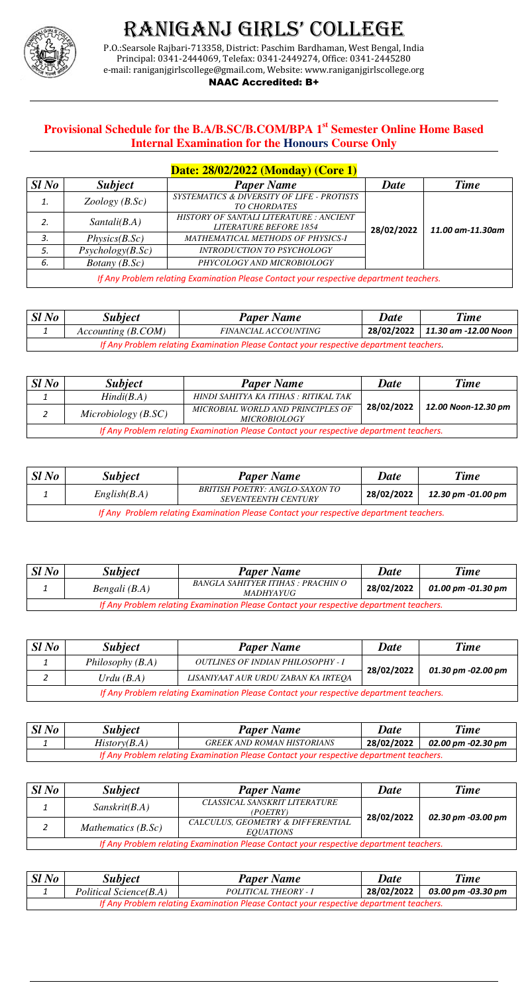

# Raniganj giRls' College

P.O.:Searsole Rajbari-713358, District: Paschim Bardhaman, West Bengal, India Principal: 0341-2444069, Telefax: 0341-2449274, Office: 0341-2445280 e-mail: raniganjgirlscollege@gmail.com, Website: www.raniganjgirlscollege.org

### NAAC Accredited: B+

## **Provisional Schedule for the B.A/B.SC/B.COM/BPA 1st Semester Online Home Based Internal Examination for the Honours Course Only**

|                                                                                         |                  | Date: 28/02/2022 (Monday) (Core 1)                                       |             |                  |
|-----------------------------------------------------------------------------------------|------------------|--------------------------------------------------------------------------|-------------|------------------|
| SlNo                                                                                    | <i>Subject</i>   | <b>Paper Name</b>                                                        | <b>Date</b> | <b>Time</b>      |
| 1.                                                                                      | Zoology(B.Sc)    | SYSTEMATICS & DIVERSITY OF LIFE - PROTISTS<br>TO CHORDATES               |             |                  |
| 2.                                                                                      | Santali(B.A)     | HISTORY OF SANTALI LITERATURE : ANCIENT<br><b>LITERATURE BEFORE 1854</b> | 28/02/2022  | 11.00 am-11.30am |
| 3.                                                                                      | Physics(B.Sc)    | MATHEMATICAL METHODS OF PHYSICS-I                                        |             |                  |
| 5.                                                                                      | Psychology(B.Sc) | <b>INTRODUCTION TO PSYCHOLOGY</b>                                        |             |                  |
| 6.                                                                                      | Botany $(B.Sc)$  | PHYCOLOGY AND MICROBIOLOGY                                               |             |                  |
| If Any Problem relating Examination Please Contact your respective department teachers. |                  |                                                                          |             |                  |

| SlNo                                                                                    | <i><b>Subject</b></i> | <b>Paper Name</b>           | <b>Date</b> | Time                            |
|-----------------------------------------------------------------------------------------|-----------------------|-----------------------------|-------------|---------------------------------|
|                                                                                         | Accounting (B. COM)   | <i>FINANCIAL ACCOUNTING</i> |             | 28/02/2022 11.30 am -12.00 Noon |
| If Any Problem relating Examination Please Contact your respective department teachers. |                       |                             |             |                                 |

| $Sl$ No                                                                                 | <b>Subject</b> | <b>Paper Name</b>                                      | Date       | <b>Time</b>        |
|-----------------------------------------------------------------------------------------|----------------|--------------------------------------------------------|------------|--------------------|
|                                                                                         | Bengali (B.A)  | BANGLA SAHITYER ITIHAS : PRACHIN O<br><i>MADHYAYUG</i> | 28/02/2022 | 01.00 pm -01.30 pm |
| If Any Problem relating Examination Please Contact your respective department teachers. |                |                                                        |            |                    |

| SlNo                                                                                    | <b>Subject</b> | <b>Paper Name</b>                 | <b>Date</b> | <b>Time</b>        |  |
|-----------------------------------------------------------------------------------------|----------------|-----------------------------------|-------------|--------------------|--|
|                                                                                         | History(B.A)   | <b>GREEK AND ROMAN HISTORIANS</b> | 28/02/2022  | 02.00 pm -02.30 pm |  |
| If Any Problem relatina Examination Please Contact your respective department teachers. |                |                                   |             |                    |  |

| SlNo                                                                                    | <b>Subject</b>       | <b>Paper Name</b>                                     | <b>Date</b> | <b>Time</b>        |
|-----------------------------------------------------------------------------------------|----------------------|-------------------------------------------------------|-------------|--------------------|
|                                                                                         | Sanskrit(B.A)        | CLASSICAL SANSKRIT LITERATURE<br>(POETRY)             | 28/02/2022  | 02.30 pm -03.00 pm |
|                                                                                         | Mathematics $(B.Sc)$ | CALCULUS, GEOMETRY & DIFFERENTIAL<br><i>EOUATIONS</i> |             |                    |
| If Any Problem relating Examination Please Contact your respective department teachers. |                      |                                                       |             |                    |

| $Sl$ No                                                                                 | <b>Subject</b>         | <b>Paper Name</b>    | <b>Date</b> | <b>Time</b>        |
|-----------------------------------------------------------------------------------------|------------------------|----------------------|-------------|--------------------|
|                                                                                         | Political Science(B.A) | POLITICAL THEORY - I | 28/02/2022  | 03.00 pm -03.30 pm |
| If Any Problem relating Examination Please Contact your respective department teachers. |                        |                      |             |                    |

| SlNo                                                                                    | <b>Subject</b>      | <b>Paper Name</b>                                        | <b>Date</b> | <b>Time</b>         |
|-----------------------------------------------------------------------------------------|---------------------|----------------------------------------------------------|-------------|---------------------|
|                                                                                         | Hindi(B.A)          | HINDI SAHITYA KA ITIHAS : RITIKAL TAK                    |             |                     |
|                                                                                         | Microbiology (B.SC) | MICROBIAL WORLD AND PRINCIPLES OF<br><b>MICROBIOLOGY</b> | 28/02/2022  | 12.00 Noon-12.30 pm |
| If Any Problem relating Examination Please Contact your respective department teachers. |                     |                                                          |             |                     |

| SlNo                                                                                    | <b>Subject</b> | <b>Paper Name</b>                                            | Date       | <b>Time</b>        |  |
|-----------------------------------------------------------------------------------------|----------------|--------------------------------------------------------------|------------|--------------------|--|
|                                                                                         | English(B.A)   | BRITISH POETRY: ANGLO-SAXON TO<br><b>SEVENTEENTH CENTURY</b> | 28/02/2022 | 12.30 pm -01.00 pm |  |
| If Any Problem relating Examination Please Contact your respective department teachers. |                |                                                              |            |                    |  |

| SlNo                                                                                    | <i><b>Subject</b></i> | <b>Paper Name</b>                        | <b>Date</b> | <b>Time</b>        |
|-----------------------------------------------------------------------------------------|-----------------------|------------------------------------------|-------------|--------------------|
|                                                                                         | Philosophy $(B.A)$    | <b>OUTLINES OF INDIAN PHILOSOPHY - I</b> | 28/02/2022  | 01.30 pm -02.00 pm |
|                                                                                         | Urdu $(B.A)$          | LISANIYAAT AUR URDU ZABAN KA IRTEOA      |             |                    |
| If Any Problem relating Examination Please Contact your respective department teachers. |                       |                                          |             |                    |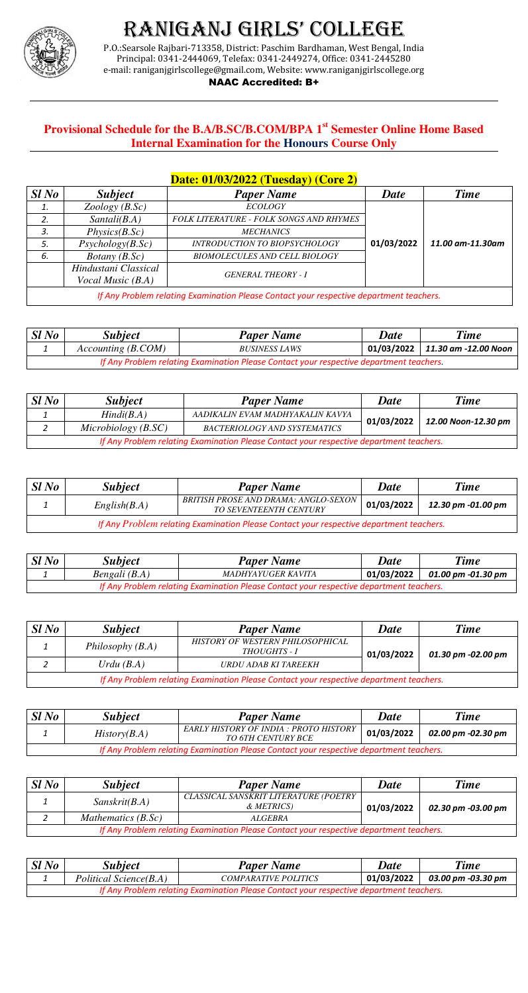

# Raniganj giRls' College

P.O.:Searsole Rajbari-713358, District: Paschim Bardhaman, West Bengal, India Principal: 0341-2444069, Telefax: 0341-2449274, Office: 0341-2445280 e-mail: raniganjgirlscollege@gmail.com, Website: www.raniganjgirlscollege.org

### NAAC Accredited: B+

## **Provisional Schedule for the B.A/B.SC/B.COM/BPA 1st Semester Online Home Based Internal Examination for the Honours Course Only**

|      |                                                                                         | Date: 01/03/2022 (Tuesday) (Core 2)            |             |                  |  |
|------|-----------------------------------------------------------------------------------------|------------------------------------------------|-------------|------------------|--|
| SlNo | <i>Subject</i>                                                                          | <b>Paper Name</b>                              | <b>Date</b> | <b>Time</b>      |  |
| 1.   | Zoology(B.Sc)                                                                           | <b>ECOLOGY</b>                                 |             |                  |  |
| 2.   | Santali(B.A)                                                                            | <b>FOLK LITERATURE - FOLK SONGS AND RHYMES</b> |             |                  |  |
| 3.   | Physics(B.Sc)                                                                           | <i>MECHANICS</i>                               |             | 11.00 am-11.30am |  |
| 5.   | Psychology(B.Sc)                                                                        | <b>INTRODUCTION TO BIOPSYCHOLOGY</b>           | 01/03/2022  |                  |  |
| 6.   | <i>Botany</i> $(B.Sc)$                                                                  | <b>BIOMOLECULES AND CELL BIOLOGY</b>           |             |                  |  |
|      | Hindustani Classical                                                                    | <b>GENERAL THEORY - I</b>                      |             |                  |  |
|      | <i>Vocal Music (B.A)</i>                                                                |                                                |             |                  |  |
|      | If Any Problem relating Examination Please Contact your respective department teachers. |                                                |             |                  |  |

| SlNo                                                                                    | <b>Subject</b>      | <b>Paper Name</b>    | Date | <b>Time</b>                         |
|-----------------------------------------------------------------------------------------|---------------------|----------------------|------|-------------------------------------|
|                                                                                         | Accounting (B. COM) | <b>BUSINESS LAWS</b> |      | $01/03/2022$   11.30 am -12.00 Noon |
| If Any Problem relating Examination Please Contact your respective department teachers. |                     |                      |      |                                     |

| SlNo                                                                                    | <b>Subject</b> | <b>Paper Name</b>         | <b>Date</b> | <b>Time</b>        |
|-----------------------------------------------------------------------------------------|----------------|---------------------------|-------------|--------------------|
|                                                                                         | Bengali (B.A)  | <i>MADHYAYUGER KAVITA</i> | 01/03/2022  | 01.00 pm -01.30 pm |
| If Any Problem relating Examination Please Contact your respective department teachers. |                |                           |             |                    |

| SlNo                                                                                    | <b>Subject</b> | <b>Paper Name</b>                                                   | <b>Date</b> | <b>Time</b>        |  |
|-----------------------------------------------------------------------------------------|----------------|---------------------------------------------------------------------|-------------|--------------------|--|
|                                                                                         | History(B.A)   | EARLY HISTORY OF INDIA : PROTO HISTORY<br><b>TO 6TH CENTURY BCE</b> | 01/03/2022  | 02.00 pm -02.30 pm |  |
| If Any Problem relating Examination Please Contact your respective department teachers. |                |                                                                     |             |                    |  |

| SlNo                                                                                    | <b>Subject</b>       | <b>Paper Name</b>                                   | <b>Date</b> | <b>Time</b>        |
|-----------------------------------------------------------------------------------------|----------------------|-----------------------------------------------------|-------------|--------------------|
|                                                                                         | Sanskrit(B.A)        | CLASSICAL SANSKRIT LITERATURE (POETRY<br>& METRICS) | 01/03/2022  | 02.30 pm -03.00 pm |
|                                                                                         | Mathematics $(B.Sc)$ | ALGEBRA                                             |             |                    |
| If Any Problem relating Examination Please Contact your respective department teachers. |                      |                                                     |             |                    |

| SlNo                                                                                    | <b>Subject</b>         | <b>Paper Name</b>           | Date       | <b>Time</b>        |  |
|-----------------------------------------------------------------------------------------|------------------------|-----------------------------|------------|--------------------|--|
|                                                                                         | Political Science(B.A) | <b>COMPARATIVE POLITICS</b> | 01/03/2022 | 03.00 pm -03.30 pm |  |
| If Any Problem relating Examination Please Contact your respective department teachers. |                        |                             |            |                    |  |

| SlNo                                                                                    | <b>Subject</b>      | <b>Paper Name</b>                   | Date       | <b>Time</b>         |  |
|-----------------------------------------------------------------------------------------|---------------------|-------------------------------------|------------|---------------------|--|
|                                                                                         | Hindi(B.A)          | AADIKALIN EVAM MADHYAKALIN KAVYA    | 01/03/2022 | 12.00 Noon-12.30 pm |  |
|                                                                                         | Microbiology (B.SC) | <b>BACTERIOLOGY AND SYSTEMATICS</b> |            |                     |  |
| If Any Problem relating Examination Please Contact your respective department teachers. |                     |                                     |            |                     |  |

| SlNo                                                                                    | <i><b>Subject</b></i> | <b>Paper Name</b>                                                     | Date       | <b>Time</b>        |  |
|-----------------------------------------------------------------------------------------|-----------------------|-----------------------------------------------------------------------|------------|--------------------|--|
|                                                                                         | English(B.A)          | BRITISH PROSE AND DRAMA: ANGLO-SEXON<br><b>TO SEVENTEENTH CENTURY</b> | 01/03/2022 | 12.30 pm -01.00 pm |  |
| If Any Problem relating Examination Please Contact your respective department teachers. |                       |                                                                       |            |                    |  |

| SlNo                                                                                    | <i><b>Subject</b></i> | <b>Paper Name</b>                                       | <b>Date</b> | <b>Time</b>        |  |
|-----------------------------------------------------------------------------------------|-----------------------|---------------------------------------------------------|-------------|--------------------|--|
|                                                                                         | Philosophy $(B.A)$    | HISTORY OF WESTERN PHILOSOPHICAL<br><i>THOUGHTS - I</i> | 01/03/2022  | 01.30 pm -02.00 pm |  |
|                                                                                         | Urdu $(B.A)$          | URDU ADAB KI TAREEKH                                    |             |                    |  |
| If Any Problem relating Examination Please Contact your respective department teachers. |                       |                                                         |             |                    |  |